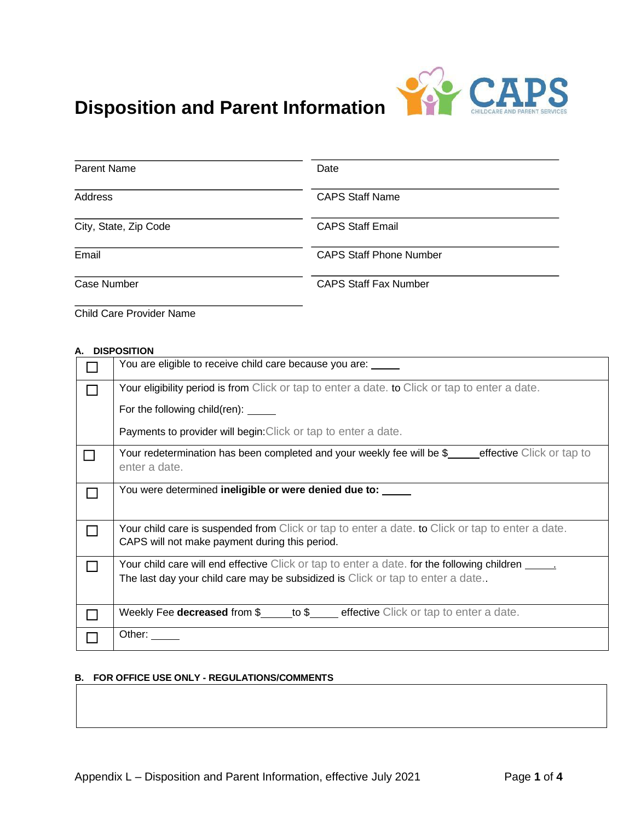

# **Disposition and Parent Information**

| Parent Name           | Date                           |  |
|-----------------------|--------------------------------|--|
| Address               | <b>CAPS Staff Name</b>         |  |
| City, State, Zip Code | <b>CAPS Staff Email</b>        |  |
| Email                 | <b>CAPS Staff Phone Number</b> |  |
| Case Number           | <b>CAPS Staff Fax Number</b>   |  |

Child Care Provider Name

#### **A. DISPOSITION**

| You are eligible to receive child care because you are:                                                                                                                               |  |  |
|---------------------------------------------------------------------------------------------------------------------------------------------------------------------------------------|--|--|
| Your eligibility period is from Click or tap to enter a date, to Click or tap to enter a date.                                                                                        |  |  |
| For the following child(ren): _____                                                                                                                                                   |  |  |
| Payments to provider will begin: Click or tap to enter a date.                                                                                                                        |  |  |
| Your redetermination has been completed and your weekly fee will be \$_ecrective Click or tap to<br>enter a date.                                                                     |  |  |
| You were determined ineligible or were denied due to:                                                                                                                                 |  |  |
| Your child care is suspended from Click or tap to enter a date. to Click or tap to enter a date.<br>CAPS will not make payment during this period.                                    |  |  |
| Your child care will end effective Click or tap to enter a date. for the following children ______<br>The last day your child care may be subsidized is Click or tap to enter a date. |  |  |
| Weekly Fee <b>decreased</b> from $\frac{1}{2}$ to $\frac{1}{2}$ effective Click or tap to enter a date.                                                                               |  |  |
| Other:                                                                                                                                                                                |  |  |

# **B. FOR OFFICE USE ONLY - REGULATIONS/COMMENTS**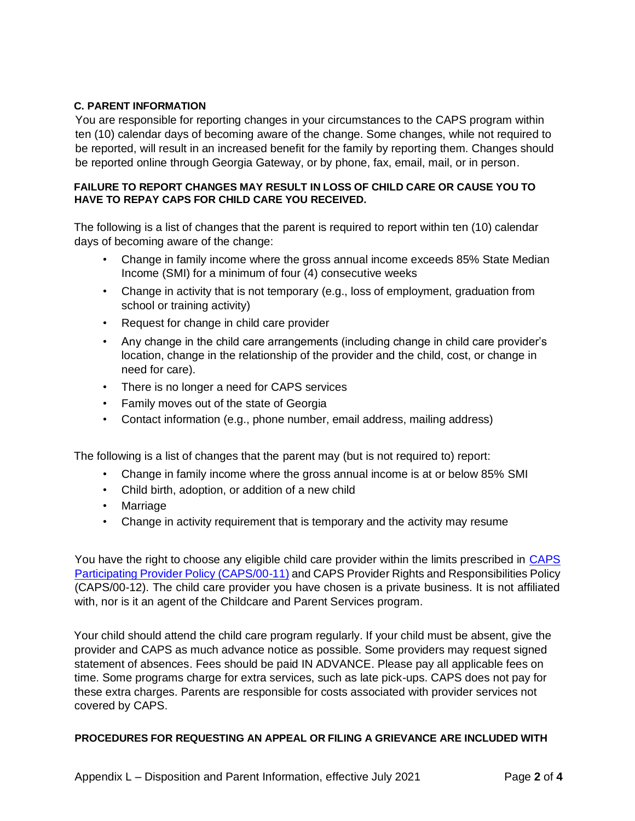# **C. PARENT INFORMATION**

You are responsible for reporting changes in your circumstances to the CAPS program within ten (10) calendar days of becoming aware of the change. Some changes, while not required to be reported, will result in an increased benefit for the family by reporting them. Changes should be reported online through Georgia Gateway, or by phone, fax, email, mail, or in person.

# **FAILURE TO REPORT CHANGES MAY RESULT IN LOSS OF CHILD CARE OR CAUSE YOU TO HAVE TO REPAY CAPS FOR CHILD CARE YOU RECEIVED.**

The following is a list of changes that the parent is required to report within ten (10) calendar days of becoming aware of the change:

- Change in family income where the gross annual income exceeds 85% State Median Income (SMI) for a minimum of four (4) consecutive weeks
- Change in activity that is not temporary (e.g., loss of employment, graduation from school or training activity)
- Request for change in child care provider
- Any change in the child care arrangements (including change in child care provider's location, change in the relationship of the provider and the child, cost, or change in need for care).
- There is no longer a need for CAPS services
- Family moves out of the state of Georgia
- Contact information (e.g., phone number, email address, mailing address)

The following is a list of changes that the parent may (but is not required to) report:

- Change in family income where the gross annual income is at or below 85% SMI
- Child birth, adoption, or addition of a new child
- Marriage
- Change in activity requirement that is temporary and the activity may resume

You have the right to choose any eligible child care provider within the limits prescribed in [CAPS](https://caps.decal.ga.gov/assets/downloads/CAPS/11-CAPS_Policy-Participating%20Providers.pdf)  [Participating Provider Policy \(CAPS/00-11\)](https://caps.decal.ga.gov/assets/downloads/CAPS/11-CAPS_Policy-Participating%20Providers.pdf) and CAPS Provider Rights and Responsibilities Policy (CAPS/00-12). The child care provider you have chosen is a private business. It is not affiliated with, nor is it an agent of the Childcare and Parent Services program.

Your child should attend the child care program regularly. If your child must be absent, give the provider and CAPS as much advance notice as possible. Some providers may request signed statement of absences. Fees should be paid IN ADVANCE. Please pay all applicable fees on time. Some programs charge for extra services, such as late pick-ups. CAPS does not pay for these extra charges. Parents are responsible for costs associated with provider services not covered by CAPS.

#### **PROCEDURES FOR REQUESTING AN APPEAL OR FILING A GRIEVANCE ARE INCLUDED WITH**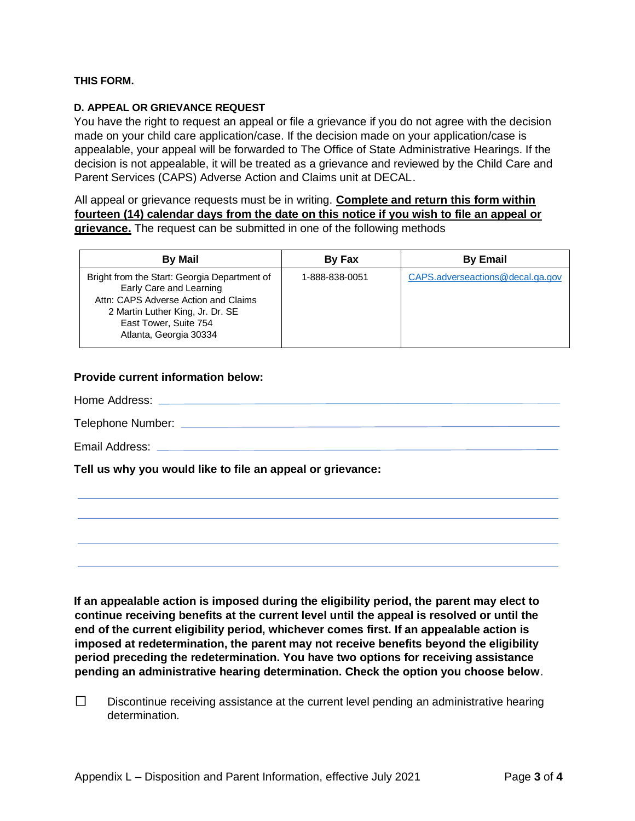# **THIS FORM.**

### **D. APPEAL OR GRIEVANCE REQUEST**

You have the right to request an appeal or file a grievance if you do not agree with the decision made on your child care application/case. If the decision made on your application/case is appealable, your appeal will be forwarded to The Office of State Administrative Hearings. If the decision is not appealable, it will be treated as a grievance and reviewed by the Child Care and Parent Services (CAPS) Adverse Action and Claims unit at DECAL.

All appeal or grievance requests must be in writing. **Complete and return this form within fourteen (14) calendar days from the date on this notice if you wish to file an appeal or grievance.** The request can be submitted in one of the following methods

| <b>By Mail</b>                                                                                                                                                                                         | By Fax         | <b>By Email</b>                  |
|--------------------------------------------------------------------------------------------------------------------------------------------------------------------------------------------------------|----------------|----------------------------------|
| Bright from the Start: Georgia Department of<br>Early Care and Learning<br>Attn: CAPS Adverse Action and Claims<br>2 Martin Luther King, Jr. Dr. SE<br>East Tower, Suite 754<br>Atlanta, Georgia 30334 | 1-888-838-0051 | CAPS.adverseactions@decal.ga.gov |

# **Provide current information below:**

Home Address:

Telephone Number:

Email Address:

**Tell us why you would like to file an appeal or grievance:** 

**If an appealable action is imposed during the eligibility period, the parent may elect to continue receiving benefits at the current level until the appeal is resolved or until the end of the current eligibility period, whichever comes first. If an appealable action is imposed at redetermination, the parent may not receive benefits beyond the eligibility period preceding the redetermination. You have two options for receiving assistance pending an administrative hearing determination. Check the option you choose below**.

 $\Box$ Discontinue receiving assistance at the current level pending an administrative hearing determination.